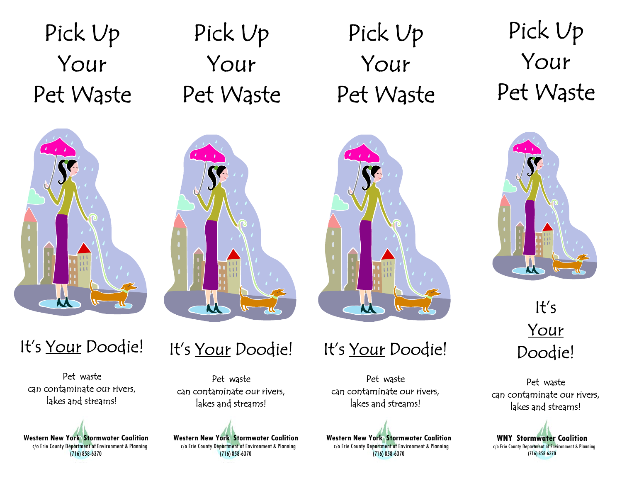Pick Up Your Pet Waste

# Pick Up Your Pet Waste



## It's Your Doodie!

Pet waste can contaminate our rivers, lakes and streams!

**Western New York Stormwater Coalition** c/o Erie County Department of Environment & Planning (716) 858-6370

## It's Your Doodie!

Pet waste can contaminate our rivers, lakes and streams!

**Western New York Stormwater Coalition** c/o Erie County Department of Environment & Planning (716) 858-6370

## Pick Up Your Pet Waste



It's Your Doodie!

Pet waste can contaminate our rivers, lakes and streams!

**Western New York Stormwater Coalition** c/o Erie County Department of Environment & Planning (716) 858-6370

Pick Up Your Pet Waste



It's Your Doodie!

Pet waste can contaminate our rivers, lakes and streams!

**WNY Stormwater Coalition**  c/o Erie County Department of Environment & Planning (716) 858-6370